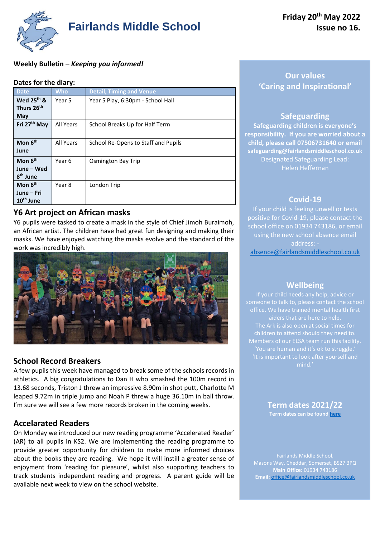

**Weekly Bulletin –** *Keeping you informed!*

#### **Dates for the diary:**

| <b>Date</b>                                                | <b>Who</b> | <b>Detail, Timing and Venue</b>     |
|------------------------------------------------------------|------------|-------------------------------------|
| Wed 25 <sup>th</sup> &<br>Thurs 26 <sup>th</sup><br>May    | Year 5     | Year 5 Play, 6:30pm - School Hall   |
| Fri 27 <sup>th</sup> May                                   | All Years  | School Breaks Up for Half Term      |
| Mon 6 <sup>th</sup><br>June                                | All Years  | School Re-Opens to Staff and Pupils |
| Mon 6 <sup>th</sup><br>June – Wed<br>8 <sup>th</sup> June  | Year 6     | Osmington Bay Trip                  |
| Mon 6 <sup>th</sup><br>June – Fri<br>10 <sup>th</sup> June | Year 8     | London Trip                         |

# **Y6 Art project on African masks**

Y6 pupils were tasked to create a mask in the style of Chief Jimoh Buraimoh, an African artist. The children have had great fun designing and making their masks. We have enjoyed watching the masks evolve and the standard of the work was incredibly high.



# **School Record Breakers**

A few pupils this week have managed to break some of the schools records in athletics. A big congratulations to Dan H who smashed the 100m record in 13.68 seconds, Triston J threw an impressive 8.90m in shot putt, Charlotte M leaped 9.72m in triple jump and Noah P threw a huge 36.10m in ball throw. I'm sure we will see a few more records broken in the coming weeks.

# **Accelarated Readers**

On Monday we introduced our new reading programme 'Accelerated Reader' (AR) to all pupils in KS2. We are implementing the reading programme to provide greater opportunity for children to make more informed choices about the books they are reading. We hope it will instill a greater sense of enjoyment from 'reading for pleasure', whilst also supporting teachers to track students independent reading and progress. A parent guide will be available next week to view on the school website.

# **Our values 'Caring and Inspirational'**

### **Safeguarding**

**Safeguarding children is everyone's responsibility. If you are worried about a child, please call 07506731640 or email safeguarding@fairlandsmiddleschool.co.uk** Designated Safeguarding Lead: Helen Heffernan

#### **Covid-19**

If your child is feeling unwell or tests positive for Covid-19, please contact the school office on 01934 743186, or email using the new school absence email address: [absence@fairlandsmiddleschool.co.uk](mailto:absence@fairlandsmiddleschool.co.uk)

#### **Wellbeing**

'You are human and it's ok to struggle.'

**Term dates 2021/22 Term dates can be found [here](https://www.fairlandsmiddleschool.co.uk/events)**

**Main Office:** 01934 743186 **Email:** [office@fairlandsmiddleschool.co.uk](mailto:office@fairlandsmiddleschool.co.uk)